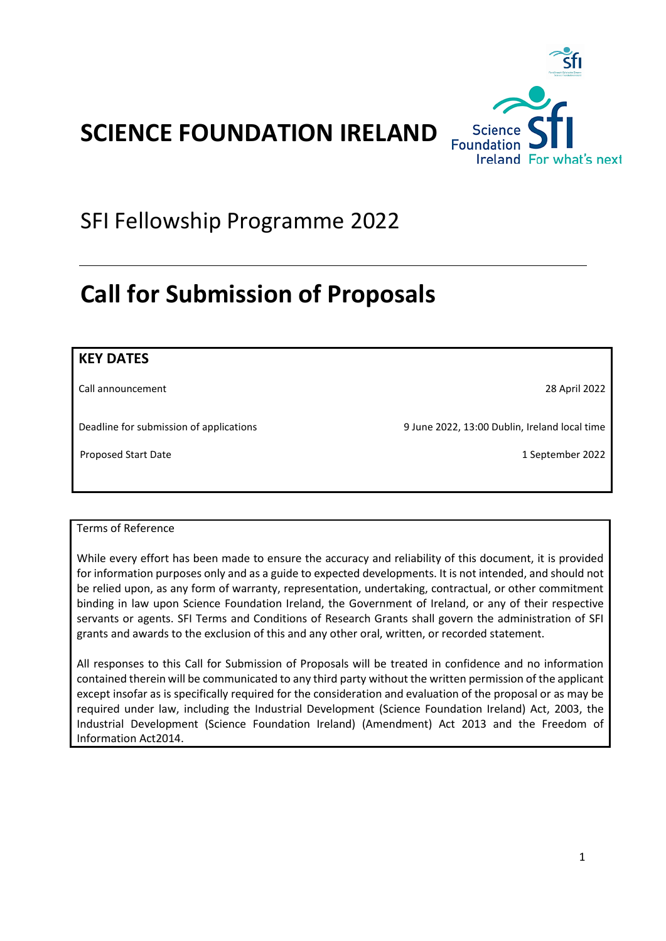

# SFI Fellowship Programme 2022

# <span id="page-0-0"></span>**Call for Submission of Proposals**

| <b>KEY DATES</b>                        |                                               |
|-----------------------------------------|-----------------------------------------------|
| Call announcement                       | 28 April 2022                                 |
| Deadline for submission of applications | 9 June 2022, 13:00 Dublin, Ireland local time |
| Proposed Start Date                     | 1 September 2022                              |
|                                         |                                               |

## Terms of Reference

While every effort has been made to ensure the accuracy and reliability of this document, it is provided for information purposes only and as a guide to expected developments. It is not intended, and should not be relied upon, as any form of warranty, representation, undertaking, contractual, or other commitment binding in law upon Science Foundation Ireland, the Government of Ireland, or any of their respective servants or agents. SFI Terms and Conditions of Research Grants shall govern the administration of SFI grants and awards to the exclusion of this and any other oral, written, or recorded statement.

All responses to this Call for Submission of Proposals will be treated in confidence and no information contained therein will be communicated to any third party without the written permission of the applicant except insofar as is specifically required for the consideration and evaluation of the proposal or as may be required under law, including the Industrial Development (Science Foundation Ireland) Act, 2003, the Industrial Development (Science Foundation Ireland) (Amendment) Act 2013 and the Freedom of Information Act2014.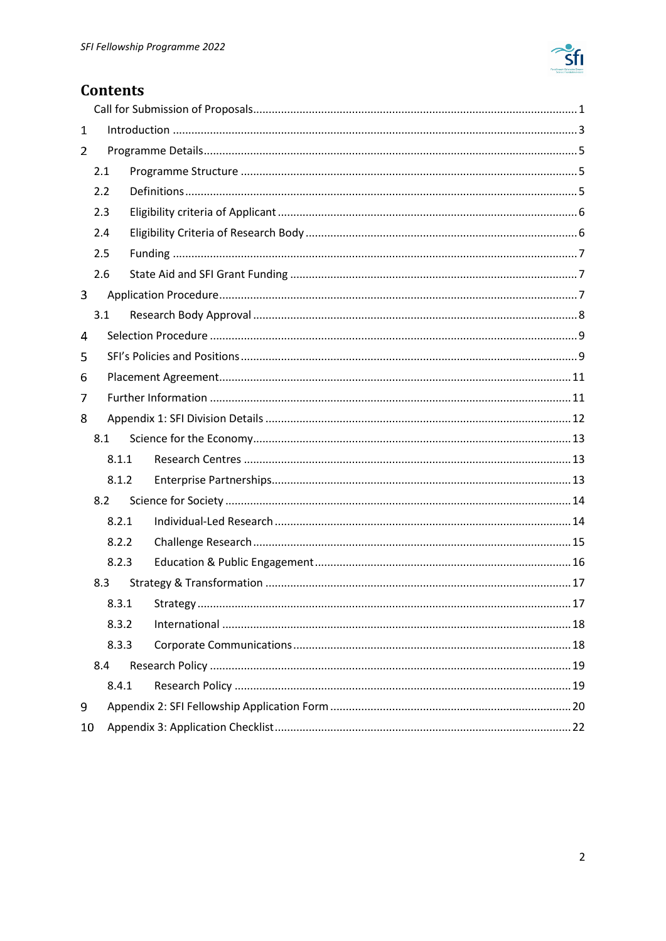

# **Contents**

| 1   |       |  |    |
|-----|-------|--|----|
| 2   |       |  |    |
|     | 2.1   |  |    |
|     | 2.2   |  |    |
|     | 2.3   |  |    |
|     | 2.4   |  |    |
|     | 2.5   |  |    |
|     | 2.6   |  |    |
| 3   |       |  |    |
|     | 3.1   |  |    |
| 4   |       |  |    |
| 5   |       |  |    |
| 6   |       |  |    |
| 7   |       |  |    |
| 8   |       |  |    |
| 8.1 |       |  |    |
|     | 8.1.1 |  |    |
|     | 8.1.2 |  |    |
|     | 8.2   |  |    |
|     | 8.2.1 |  |    |
|     | 8.2.2 |  |    |
|     | 8.2.3 |  |    |
| 8.3 |       |  |    |
|     |       |  | 17 |
|     | 8.3.2 |  |    |
|     | 8.3.3 |  |    |
|     | 8.4   |  |    |
|     | 8.4.1 |  |    |
| 9   |       |  |    |
| 10  |       |  |    |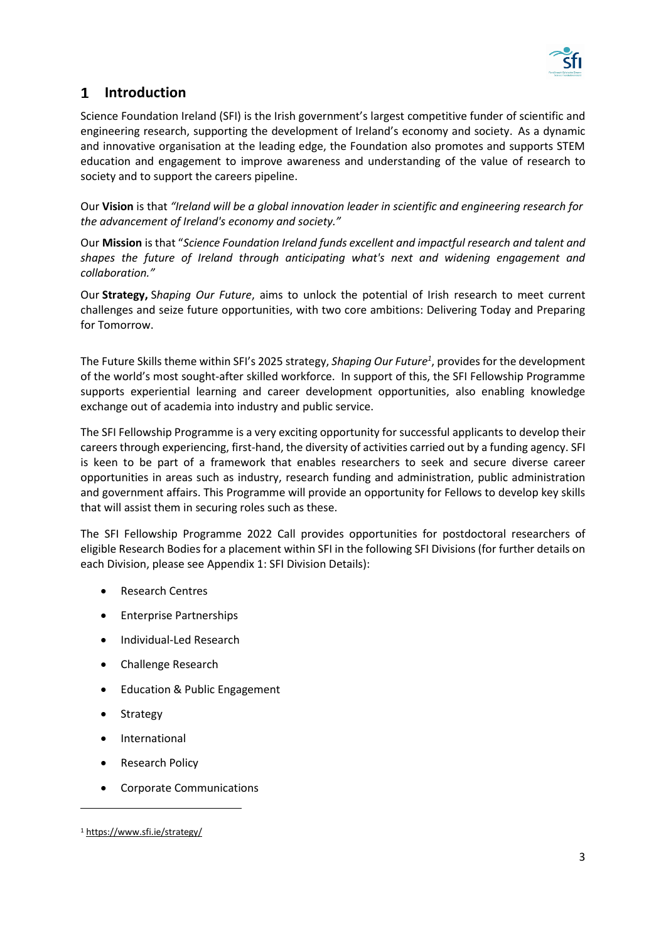

# <span id="page-2-0"></span>**Introduction**

Science Foundation Ireland (SFI) is the Irish government's largest competitive funder of scientific and engineering research, supporting the development of Ireland's economy and society. As a dynamic and innovative organisation at the leading edge, the Foundation also promotes and supports STEM education and engagement to improve awareness and understanding of the value of research to society and to support the careers pipeline.

Our **Vision** is that *"Ireland will be a global innovation leader in scientific and engineering research for the advancement of Ireland's economy and society."*

Our **Mission** is that "*Science Foundation Ireland funds excellent and impactful research and talent and shapes the future of Ireland through anticipating what's next and widening engagement and collaboration."*

Our **Strategy,** S*haping Our Future*, aims to unlock the potential of Irish research to meet current challenges and seize future opportunities, with two core ambitions: Delivering Today and Preparing for Tomorrow.

The Future Skills theme within SFI's 2025 strategy, *Shaping Our Future<sup>1</sup>* , provides for the development of the world's most sought-after skilled workforce. In support of this, the SFI Fellowship Programme supports experiential learning and career development opportunities, also enabling knowledge exchange out of academia into industry and public service.

The SFI Fellowship Programme is a very exciting opportunity for successful applicants to develop their careers through experiencing, first-hand, the diversity of activities carried out by a funding agency. SFI is keen to be part of a framework that enables researchers to seek and secure diverse career opportunities in areas such as industry, research funding and administration, public administration and government affairs. This Programme will provide an opportunity for Fellows to develop key skills that will assist them in securing roles such as these.

The SFI Fellowship Programme 2022 Call provides opportunities for postdoctoral researchers of eligible Research Bodies for a placement within SFI in the following SFI Divisions (for further details on each Division, please see [Appendix 1: SFI Division Details\)](#page-11-0):

- Research Centres
- Enterprise Partnerships
- Individual-Led Research
- Challenge Research
- Education & Public Engagement
- **Strategy**
- **International**
- Research Policy
- Corporate Communications

<sup>1</sup> <https://www.sfi.ie/strategy/>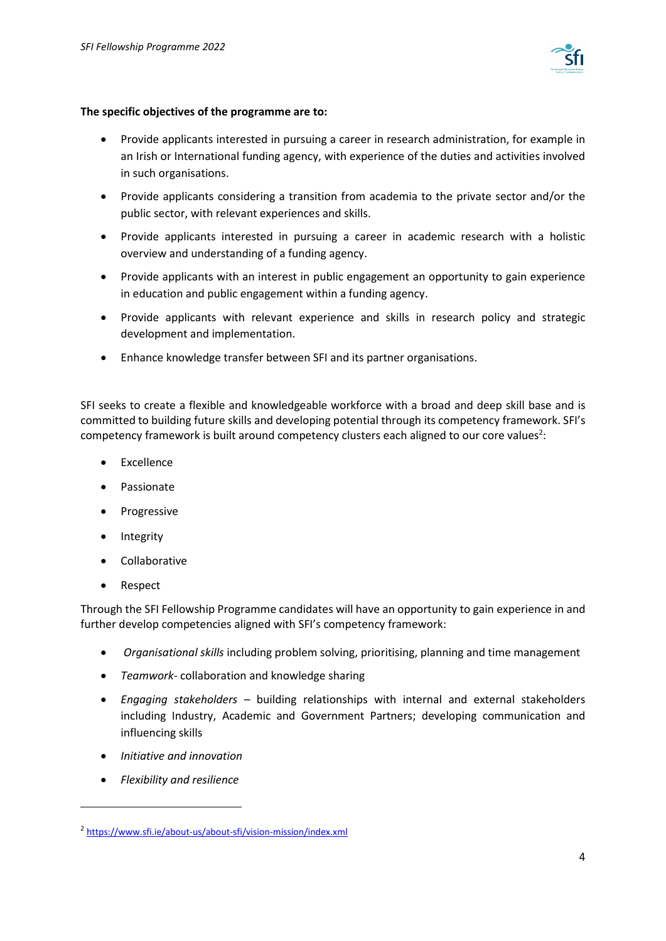

#### **The specific objectives of the programme are to:**

- Provide applicants interested in pursuing a career in research administration, for example in an Irish or International funding agency, with experience of the duties and activities involved in such organisations.
- Provide applicants considering a transition from academia to the private sector and/or the public sector, with relevant experiences and skills.
- Provide applicants interested in pursuing a career in academic research with a holistic overview and understanding of a funding agency.
- Provide applicants with an interest in public engagement an opportunity to gain experience in education and public engagement within a funding agency.
- Provide applicants with relevant experience and skills in research policy and strategic development and implementation.
- Enhance knowledge transfer between SFI and its partner organisations.

SFI seeks to create a flexible and knowledgeable workforce with a broad and deep skill base and is committed to building future skills and developing potential through its competency framework. SFI's competency framework is built around competency clusters each aligned to our core values<sup>2</sup>:

- Excellence
- Passionate
- Progressive
- Integrity
- Collaborative
- Respect

Through the SFI Fellowship Programme candidates will have an opportunity to gain experience in and further develop competencies aligned with SFI's competency framework:

- *Organisational skills* including problem solving, prioritising, planning and time management
- *Teamwork-* collaboration and knowledge sharing
- *Engaging stakeholders* building relationships with internal and external stakeholders including Industry, Academic and Government Partners; developing communication and influencing skills
- *Initiative and innovation*
- *Flexibility and resilience*

<sup>2</sup> <https://www.sfi.ie/about-us/about-sfi/vision-mission/index.xml>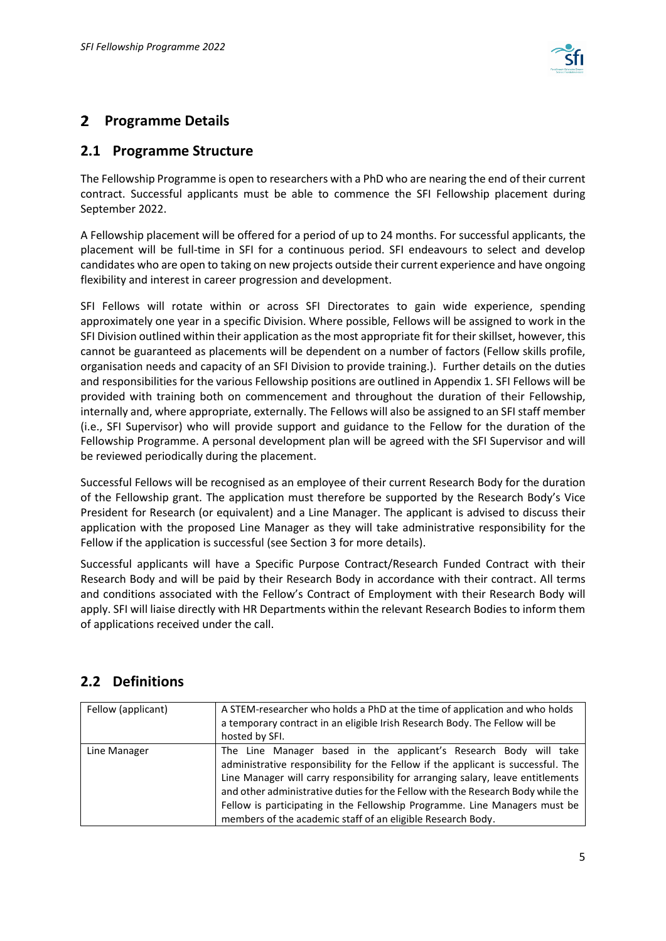

# <span id="page-4-0"></span>**Programme Details**

## <span id="page-4-1"></span>**2.1 Programme Structure**

The Fellowship Programme is open to researchers with a PhD who are nearing the end of their current contract. Successful applicants must be able to commence the SFI Fellowship placement during September 2022.

A Fellowship placement will be offered for a period of up to 24 months. For successful applicants, the placement will be full-time in SFI for a continuous period. SFI endeavours to select and develop candidates who are open to taking on new projects outside their current experience and have ongoing flexibility and interest in career progression and development.

SFI Fellows will rotate within or across SFI Directorates to gain wide experience, spending approximately one year in a specific Division. Where possible, Fellows will be assigned to work in the SFI Division outlined within their application as the most appropriate fit for their skillset, however, this cannot be guaranteed as placements will be dependent on a number of factors (Fellow skills profile, organisation needs and capacity of an SFI Division to provide training.). Further details on the duties and responsibilities for the various Fellowship positions are outlined in Appendix 1. SFI Fellows will be provided with training both on commencement and throughout the duration of their Fellowship, internally and, where appropriate, externally. The Fellows will also be assigned to an SFI staff member (i.e., SFI Supervisor) who will provide support and guidance to the Fellow for the duration of the Fellowship Programme. A personal development plan will be agreed with the SFI Supervisor and will be reviewed periodically during the placement.

Successful Fellows will be recognised as an employee of their current Research Body for the duration of the Fellowship grant. The application must therefore be supported by the Research Body's Vice President for Research (or equivalent) and a Line Manager. The applicant is advised to discuss their application with the proposed Line Manager as they will take administrative responsibility for the Fellow if the application is successful (see Section 3 for more details).

Successful applicants will have a Specific Purpose Contract/Research Funded Contract with their Research Body and will be paid by their Research Body in accordance with their contract. All terms and conditions associated with the Fellow's Contract of Employment with their Research Body will apply. SFI will liaise directly with HR Departments within the relevant Research Bodies to inform them of applications received under the call.

# <span id="page-4-2"></span>**2.2 Definitions**

| Fellow (applicant) | A STEM-researcher who holds a PhD at the time of application and who holds<br>a temporary contract in an eligible Irish Research Body. The Fellow will be<br>hosted by SFI.                                                                                                                                                                                                                                                                                              |
|--------------------|--------------------------------------------------------------------------------------------------------------------------------------------------------------------------------------------------------------------------------------------------------------------------------------------------------------------------------------------------------------------------------------------------------------------------------------------------------------------------|
| Line Manager       | The Line Manager based in the applicant's Research Body will take<br>administrative responsibility for the Fellow if the applicant is successful. The<br>Line Manager will carry responsibility for arranging salary, leave entitlements<br>and other administrative duties for the Fellow with the Research Body while the<br>Fellow is participating in the Fellowship Programme. Line Managers must be<br>members of the academic staff of an eligible Research Body. |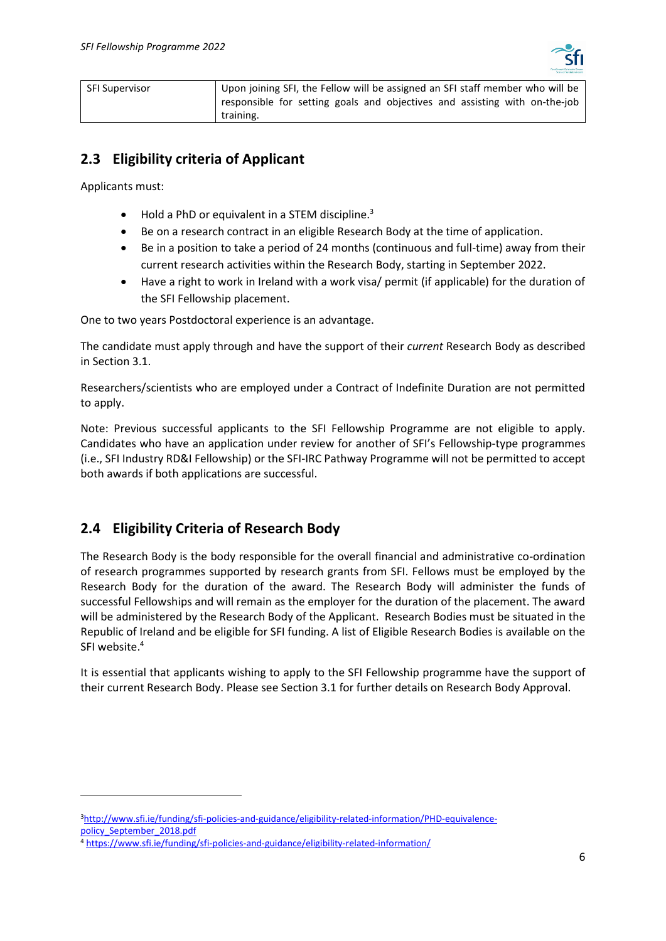

| <b>SFI Supervisor</b> | Upon joining SFI, the Fellow will be assigned an SFI staff member who will be |
|-----------------------|-------------------------------------------------------------------------------|
|                       | responsible for setting goals and objectives and assisting with on-the-job    |
|                       | training.                                                                     |

# <span id="page-5-0"></span>**2.3 Eligibility criteria of Applicant**

Applicants must:

- Hold a PhD or equivalent in a STEM discipline.<sup>3</sup>
- Be on a research contract in an eligible Research Body at the time of application.
- Be in a position to take a period of 24 months (continuous and full-time) away from their current research activities within the Research Body, starting in September 2022.
- Have a right to work in Ireland with a work visa/ permit (if applicable) for the duration of the SFI Fellowship placement.

One to two years Postdoctoral experience is an advantage.

The candidate must apply through and have the support of their *current* Research Body as described in Section [3.1.](#page-7-0)

Researchers/scientists who are employed under a Contract of Indefinite Duration are not permitted to apply.

Note: Previous successful applicants to the SFI Fellowship Programme are not eligible to apply. Candidates who have an application under review for another of SFI's Fellowship-type programmes (i.e., SFI Industry RD&I Fellowship) or the SFI-IRC Pathway Programme will not be permitted to accept both awards if both applications are successful.

# <span id="page-5-1"></span>**2.4 Eligibility Criteria of Research Body**

The Research Body is the body responsible for the overall financial and administrative co-ordination of research programmes supported by research grants from SFI. Fellows must be employed by the Research Body for the duration of the award. The Research Body will administer the funds of successful Fellowships and will remain as the employer for the duration of the placement. The award will be administered by the Research Body of the Applicant. Research Bodies must be situated in the Republic of Ireland and be eligible for SFI funding. A list of Eligible Research Bodies is available on the SFI website. 4

It is essential that applicants wishing to apply to the SFI Fellowship programme have the support of their current Research Body. Please see Section [3.1](#page-7-0) for further details on Research Body Approval.

<sup>3</sup>[http://www.sfi.ie/funding/sfi-policies-and-guidance/eligibility-related-information/PHD-equivalence](http://www.sfi.ie/funding/sfi-policies-and-guidance/eligibility-related-information/PHD-equivalence-policy_September_2018.pdf)[policy\\_September\\_2018.pdf](http://www.sfi.ie/funding/sfi-policies-and-guidance/eligibility-related-information/PHD-equivalence-policy_September_2018.pdf)

<sup>4</sup> <https://www.sfi.ie/funding/sfi-policies-and-guidance/eligibility-related-information/>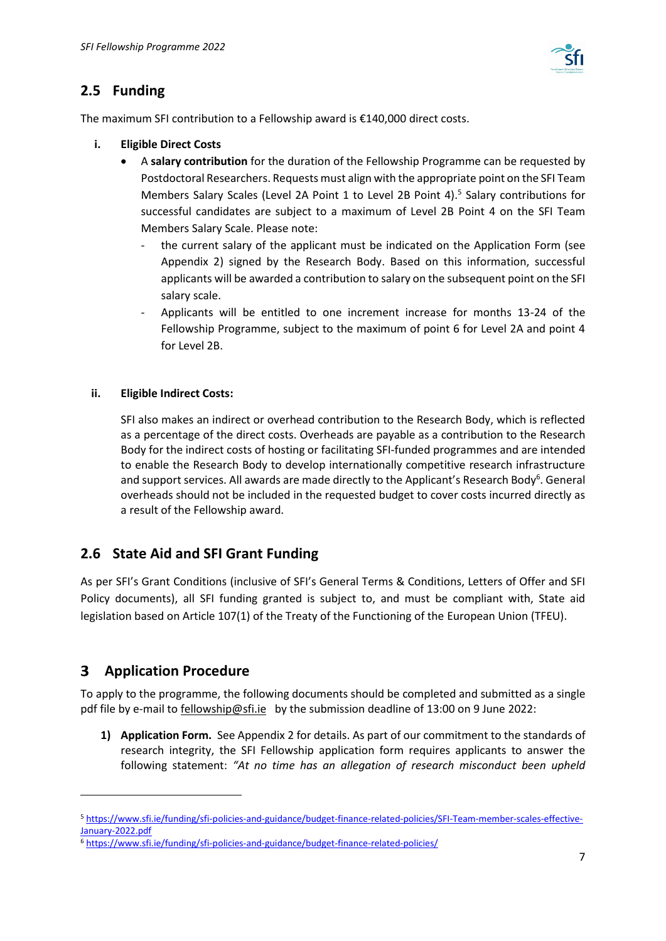

# <span id="page-6-0"></span>**2.5 Funding**

The maximum SFI contribution to a Fellowship award is €140,000 direct costs.

- **i. Eligible Direct Costs**
	- A **salary contribution** for the duration of the Fellowship Programme can be requested by Postdoctoral Researchers. Requests must align with the appropriate point on the SFI Team Members Salary Scales (Level 2A Point 1 to Level 2B Point 4).<sup>5</sup> Salary contributions for successful candidates are subject to a maximum of Level 2B Point 4 on the SFI Team Members Salary Scale. Please note:
		- the current salary of the applicant must be indicated on the Application Form (see Appendix 2) signed by the Research Body. Based on this information, successful applicants will be awarded a contribution to salary on the subsequent point on the SFI salary scale.
		- Applicants will be entitled to one increment increase for months 13-24 of the Fellowship Programme, subject to the maximum of point 6 for Level 2A and point 4 for Level 2B.

#### **ii. Eligible Indirect Costs:**

SFI also makes an indirect or overhead contribution to the Research Body, which is reflected as a percentage of the direct costs. Overheads are payable as a contribution to the Research Body for the indirect costs of hosting or facilitating SFI-funded programmes and are intended to enable the Research Body to develop internationally competitive research infrastructure and support services. All awards are made directly to the Applicant's Research Body<sup>6</sup>. General overheads should not be included in the requested budget to cover costs incurred directly as a result of the Fellowship award.

# <span id="page-6-1"></span>**2.6 State Aid and SFI Grant Funding**

As per SFI's Grant Conditions (inclusive of SFI's General Terms & Conditions, Letters of Offer and SFI Policy documents), all SFI funding granted is subject to, and must be compliant with, State aid legislation based on Article 107(1) of the Treaty of the Functioning of the European Union (TFEU).

#### <span id="page-6-2"></span>**Application Procedure**  $3 -$

To apply to the programme, the following documents should be completed and submitted as a single pdf file by e-mail to [fellowship@sfi.ie](mailto:fellowship@sfi.ie) by the submission deadline of 13:00 on 9 June 2022:

**1) Application Form.** See Appendix 2 for details. As part of our commitment to the standards of research integrity, the SFI Fellowship application form requires applicants to answer the following statement: *"At no time has an allegation of research misconduct been upheld* 

<sup>5</sup> https://www.sfi.ie/funding/sfi-policies-and-guidance/budget-finance-related-policies/SFI-Team-member-scales-effective-January-2022.pdf

<sup>6</sup> <https://www.sfi.ie/funding/sfi-policies-and-guidance/budget-finance-related-policies/>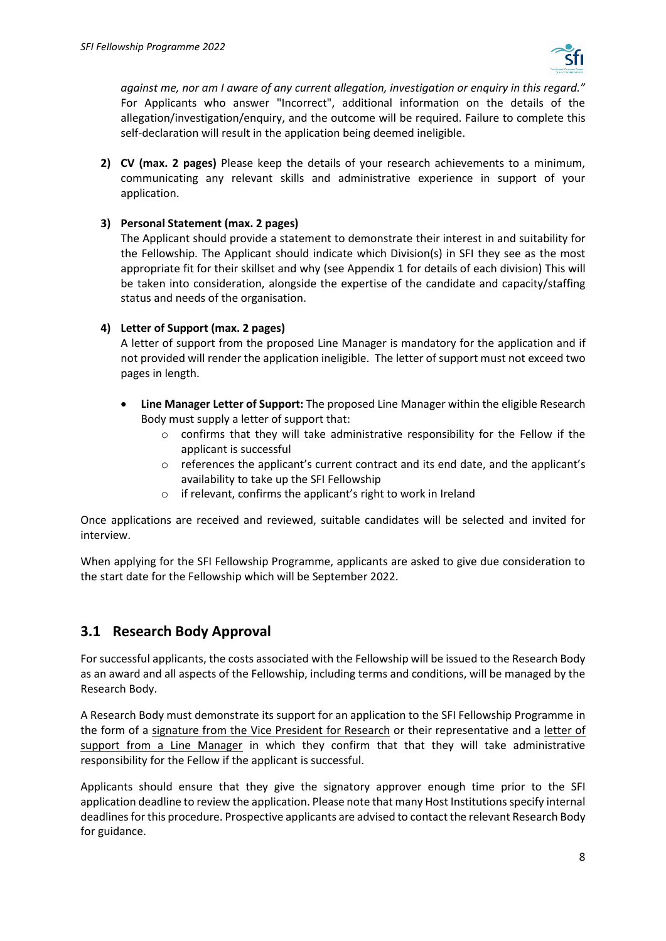

*against me, nor am I aware of any current allegation, investigation or enquiry in this regard."*  For Applicants who answer "Incorrect", additional information on the details of the allegation/investigation/enquiry, and the outcome will be required. Failure to complete this self-declaration will result in the application being deemed ineligible.

**2) CV (max. 2 pages)** Please keep the details of your research achievements to a minimum, communicating any relevant skills and administrative experience in support of your application.

#### **3) Personal Statement (max. 2 pages)**

The Applicant should provide a statement to demonstrate their interest in and suitability for the Fellowship. The Applicant should indicate which Division(s) in SFI they see as the most appropriate fit for their skillset and why (see Appendix 1 for details of each division) This will be taken into consideration, alongside the expertise of the candidate and capacity/staffing status and needs of the organisation.

#### **4) Letter of Support (max. 2 pages)**

A letter of support from the proposed Line Manager is mandatory for the application and if not provided will render the application ineligible. The letter of support must not exceed two pages in length.

- **Line Manager Letter of Support:** The proposed Line Manager within the eligible Research Body must supply a letter of support that:
	- $\circ$  confirms that they will take administrative responsibility for the Fellow if the applicant is successful
	- o references the applicant's current contract and its end date, and the applicant's availability to take up the SFI Fellowship
	- o if relevant, confirms the applicant's right to work in Ireland

Once applications are received and reviewed, suitable candidates will be selected and invited for interview.

When applying for the SFI Fellowship Programme, applicants are asked to give due consideration to the start date for the Fellowship which will be September 2022.

# <span id="page-7-0"></span>**3.1 Research Body Approval**

For successful applicants, the costs associated with the Fellowship will be issued to the Research Body as an award and all aspects of the Fellowship, including terms and conditions, will be managed by the Research Body.

A Research Body must demonstrate its support for an application to the SFI Fellowship Programme in the form of a signature from the Vice President for Research or their representative and a letter of support from a Line Manager in which they confirm that that they will take administrative responsibility for the Fellow if the applicant is successful.

Applicants should ensure that they give the signatory approver enough time prior to the SFI application deadline to review the application. Please note that many Host Institutions specify internal deadlines for this procedure. Prospective applicants are advised to contact the relevant Research Body for guidance.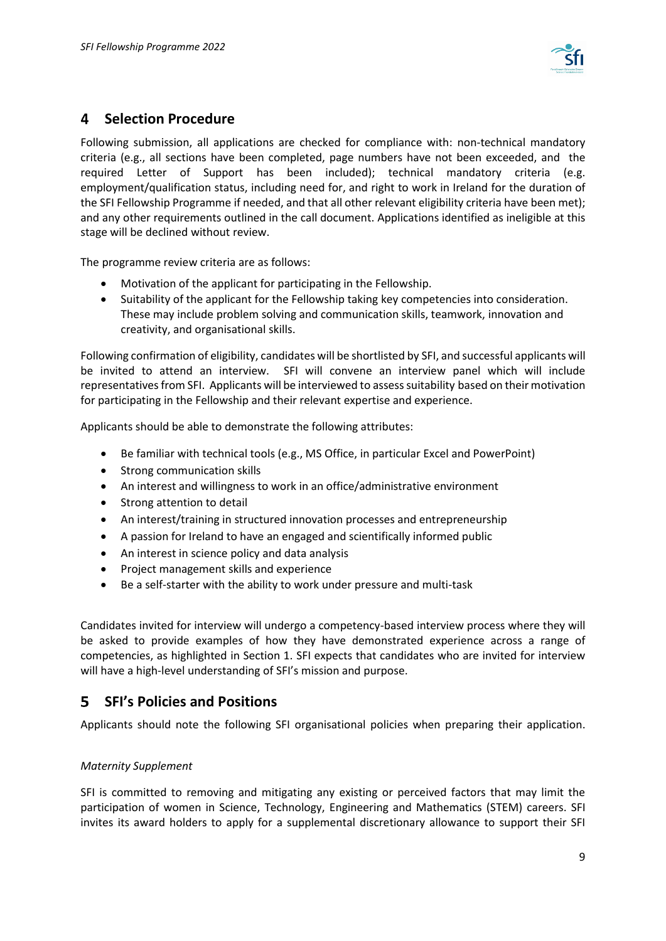

# <span id="page-8-0"></span>**Selection Procedure**

Following submission, all applications are checked for compliance with: non-technical mandatory criteria (e.g., all sections have been completed, page numbers have not been exceeded, and the required Letter of Support has been included); technical mandatory criteria (e.g. employment/qualification status, including need for, and right to work in Ireland for the duration of the SFI Fellowship Programme if needed, and that all other relevant eligibility criteria have been met); and any other requirements outlined in the call document. Applications identified as ineligible at this stage will be declined without review.

The programme review criteria are as follows:

- Motivation of the applicant for participating in the Fellowship.
- Suitability of the applicant for the Fellowship taking key competencies into consideration. These may include problem solving and communication skills, teamwork, innovation and creativity, and organisational skills.

Following confirmation of eligibility, candidates will be shortlisted by SFI, and successful applicants will be invited to attend an interview. SFI will convene an interview panel which will include representatives from SFI. Applicants will be interviewed to assess suitability based on their motivation for participating in the Fellowship and their relevant expertise and experience.

Applicants should be able to demonstrate the following attributes:

- Be familiar with technical tools (e.g., MS Office, in particular Excel and PowerPoint)
- Strong communication skills
- An interest and willingness to work in an office/administrative environment
- Strong attention to detail
- An interest/training in structured innovation processes and entrepreneurship
- A passion for Ireland to have an engaged and scientifically informed public
- An interest in science policy and data analysis
- Project management skills and experience
- Be a self-starter with the ability to work under pressure and multi-task

Candidates invited for interview will undergo a competency-based interview process where they will be asked to provide examples of how they have demonstrated experience across a range of competencies, as highlighted in Section 1. SFI expects that candidates who are invited for interview will have a high-level understanding of SFI's mission and purpose.

#### <span id="page-8-1"></span>5. **SFI's Policies and Positions**

Applicants should note the following SFI organisational policies when preparing their application.

## *Maternity Supplement*

SFI is committed to removing and mitigating any existing or perceived factors that may limit the participation of women in Science, Technology, Engineering and Mathematics (STEM) careers. SFI invites its award holders to apply for a supplemental discretionary allowance to support their SFI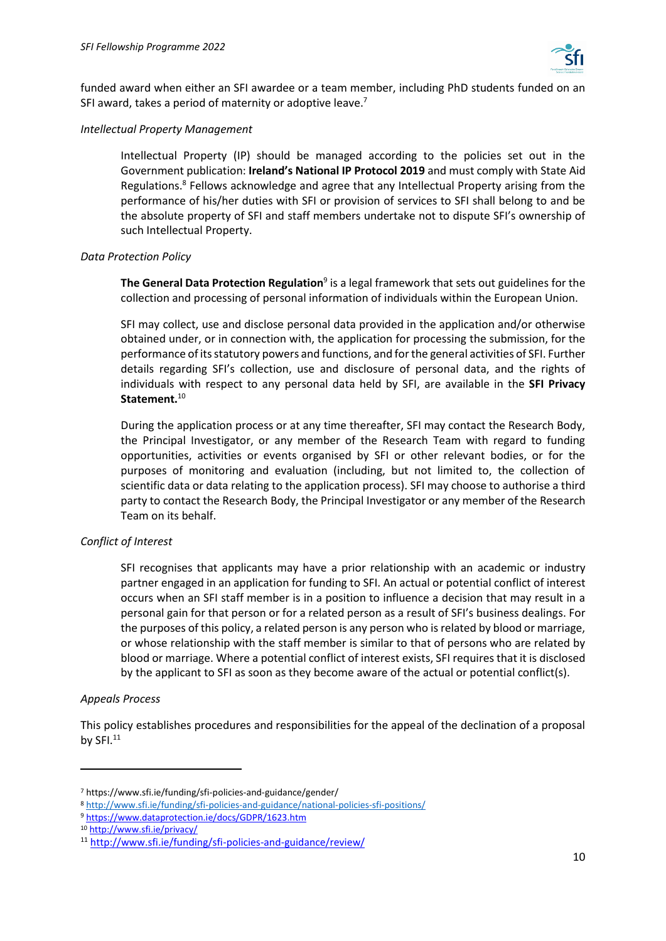

funded award when either an SFI awardee or a team member, including PhD students funded on an SFI award, takes a period of maternity or adoptive leave.<sup>7</sup>

#### *Intellectual Property Management*

Intellectual Property (IP) should be managed according to the policies set out in the Government publication: **Ireland's National IP Protocol 2019** and must comply with State Aid Regulations.<sup>8</sup> Fellows acknowledge and agree that any Intellectual Property arising from the performance of his/her duties with SFI or provision of services to SFI shall belong to and be the absolute property of SFI and staff members undertake not to dispute SFI's ownership of such Intellectual Property.

#### *Data Protection Policy*

**The General Data Protection Regulation**<sup>9</sup> is a legal framework that sets out guidelines for the collection and processing of personal information of individuals within the European Union.

SFI may collect, use and disclose personal data provided in the application and/or otherwise obtained under, or in connection with, the application for processing the submission, for the performance of its statutory powers and functions, and for the general activities of SFI. Further details regarding SFI's collection, use and disclosure of personal data, and the rights of individuals with respect to any personal data held by SFI, are available in the **SFI Privacy Statement.**<sup>10</sup>

During the application process or at any time thereafter, SFI may contact the Research Body, the Principal Investigator, or any member of the Research Team with regard to funding opportunities, activities or events organised by SFI or other relevant bodies, or for the purposes of monitoring and evaluation (including, but not limited to, the collection of scientific data or data relating to the application process). SFI may choose to authorise a third party to contact the Research Body, the Principal Investigator or any member of the Research Team on its behalf.

## *Conflict of Interest*

SFI recognises that applicants may have a prior relationship with an academic or industry partner engaged in an application for funding to SFI. An actual or potential conflict of interest occurs when an SFI staff member is in a position to influence a decision that may result in a personal gain for that person or for a related person as a result of SFI's business dealings. For the purposes of this policy, a related person is any person who is related by blood or marriage, or whose relationship with the staff member is similar to that of persons who are related by blood or marriage. Where a potential conflict of interest exists, SFI requires that it is disclosed by the applicant to SFI as soon as they become aware of the actual or potential conflict(s).

#### *Appeals Process*

This policy establishes procedures and responsibilities for the appeal of the declination of a proposal by  $SFI.<sup>11</sup>$ 

<sup>7</sup> https://www.sfi.ie/funding/sfi-policies-and-guidance/gender/

<sup>8</sup> <http://www.sfi.ie/funding/sfi-policies-and-guidance/national-policies-sfi-positions/>

<sup>9</sup> <https://www.dataprotection.ie/docs/GDPR/1623.htm>

<sup>10</sup> <http://www.sfi.ie/privacy/>

<sup>11</sup> <http://www.sfi.ie/funding/sfi-policies-and-guidance/review/>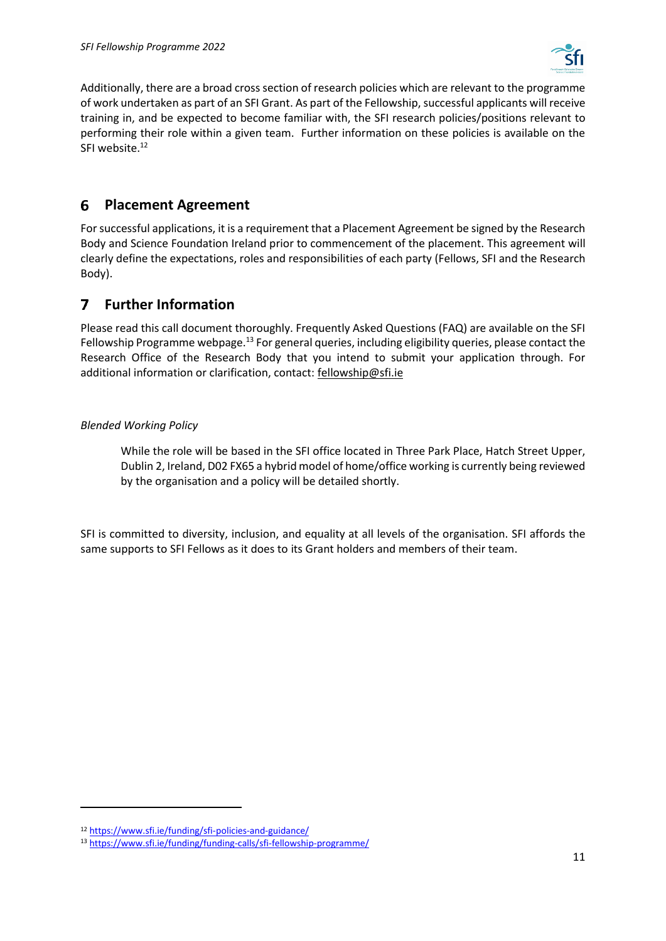

Additionally, there are a broad cross section of research policies which are relevant to the programme of work undertaken as part of an SFI Grant. As part of the Fellowship, successful applicants will receive training in, and be expected to become familiar with, the SFI research policies/positions relevant to performing their role within a given team. Further information on these policies is available on the SFI website.<sup>12</sup>

#### <span id="page-10-0"></span>**Placement Agreement** 6

For successful applications, it is a requirement that a Placement Agreement be signed by the Research Body and Science Foundation Ireland prior to commencement of the placement. This agreement will clearly define the expectations, roles and responsibilities of each party (Fellows, SFI and the Research Body).

#### <span id="page-10-1"></span>**Further Information** 7

Please read this call document thoroughly. Frequently Asked Questions (FAQ) are available on the SFI Fellowship Programme webpage.<sup>13</sup> For general queries, including eligibility queries, please contact the Research Office of the Research Body that you intend to submit your application through. For additional information or clarification, contact: [fellowship@sfi.ie](mailto:fellowship@sfi.ie)

## *Blended Working Policy*

While the role will be based in the SFI office located in Three Park Place, Hatch Street Upper, Dublin 2, Ireland, D02 FX65 a hybrid model of home/office working is currently being reviewed by the organisation and a policy will be detailed shortly.

SFI is committed to diversity, inclusion, and equality at all levels of the organisation. SFI affords the same supports to SFI Fellows as it does to its Grant holders and members of their team.

<sup>12</sup> <https://www.sfi.ie/funding/sfi-policies-and-guidance/>

<sup>13</sup> <https://www.sfi.ie/funding/funding-calls/sfi-fellowship-programme/>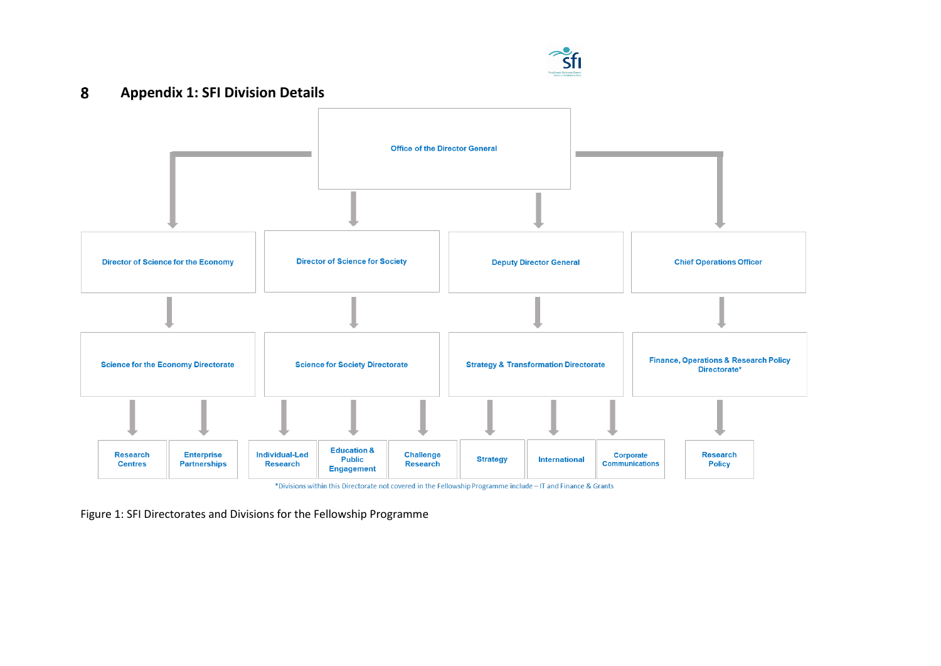#### $\boldsymbol{8}$ **Appendix 1: SFI Division Details**



\*Divisions within this Directorate not covered in the Fellowship Programme include - IT and Finance & Grants

<span id="page-11-0"></span>Figure 1: SFI Directorates and Divisions for the Fellowship Programme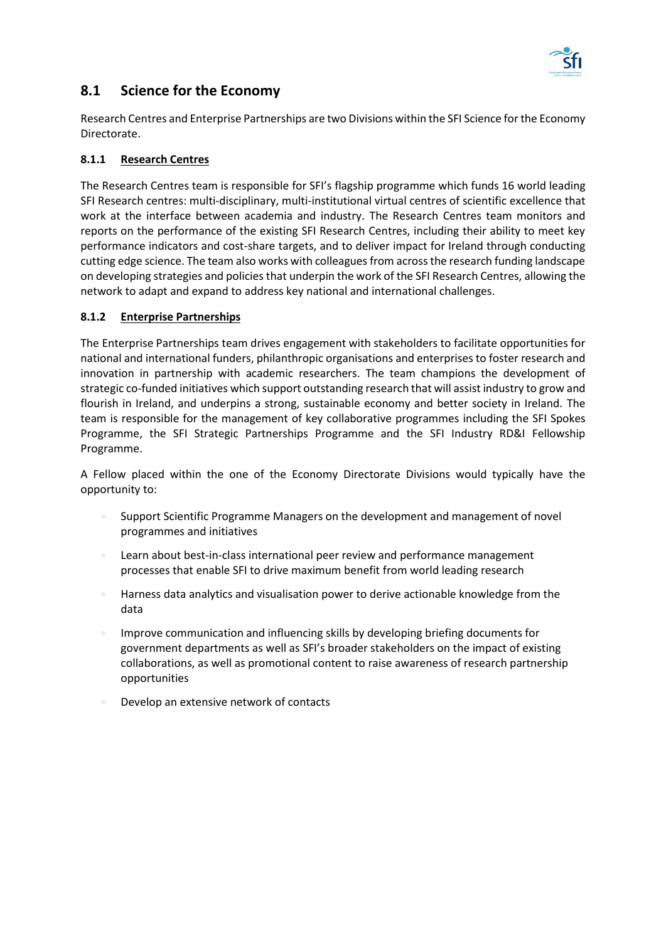

# <span id="page-12-0"></span>**8.1 Science for the Economy**

Research Centres and Enterprise Partnerships are two Divisions within the SFI Science for the Economy Directorate.

#### <span id="page-12-1"></span>**8.1.1 Research Centres**

The Research Centres team is responsible for SFI's flagship programme which funds 16 world leading SFI Research centres: multi-disciplinary, multi-institutional virtual centres of scientific excellence that work at the interface between academia and industry. The Research Centres team monitors and reports on the performance of the existing SFI Research Centres, including their ability to meet key performance indicators and cost-share targets, and to deliver impact for Ireland through conducting cutting edge science. The team also works with colleagues from across the research funding landscape on developing strategies and policies that underpin the work of the SFI Research Centres, allowing the network to adapt and expand to address key national and international challenges.

#### <span id="page-12-2"></span>**8.1.2 Enterprise Partnerships**

The Enterprise Partnerships team drives engagement with stakeholders to facilitate opportunities for national and international funders, philanthropic organisations and enterprises to foster research and innovation in partnership with academic researchers. The team champions the development of strategic co-funded initiatives which support outstanding research that will assist industry to grow and flourish in Ireland, and underpins a strong, sustainable economy and better society in Ireland. The team is responsible for the management of key collaborative programmes including the SFI Spokes Programme, the SFI Strategic Partnerships Programme and the SFI Industry RD&I Fellowship Programme.

A Fellow placed within the one of the Economy Directorate Divisions would typically have the opportunity to:

- Support Scientific Programme Managers on the development and management of novel programmes and initiatives
- Learn about best-in-class international peer review and performance management processes that enable SFI to drive maximum benefit from world leading research
- Harness data analytics and visualisation power to derive actionable knowledge from the data
- Improve communication and influencing skills by developing briefing documents for government departments as well as SFI's broader stakeholders on the impact of existing collaborations, as well as promotional content to raise awareness of research partnership opportunities
- Develop an extensive network of contacts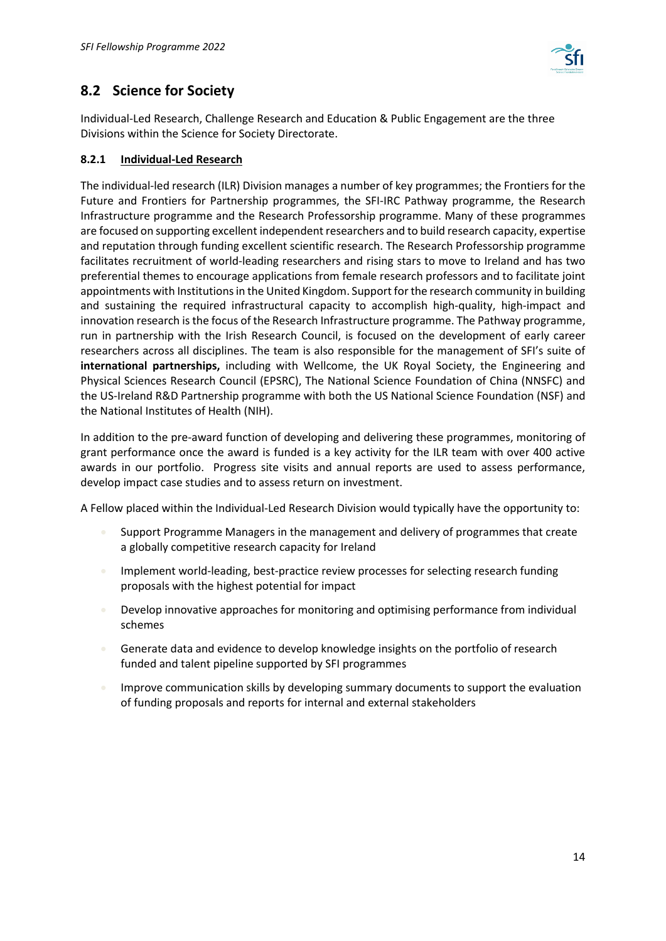

# <span id="page-13-0"></span>**8.2 Science for Society**

Individual-Led Research, Challenge Research and Education & Public Engagement are the three Divisions within the Science for Society Directorate.

## <span id="page-13-1"></span>**8.2.1 Individual-Led Research**

The individual-led research (ILR) Division manages a number of key programmes; the Frontiers for the Future and Frontiers for Partnership programmes, the SFI-IRC Pathway programme, the Research Infrastructure programme and the Research Professorship programme. Many of these programmes are focused on supporting excellent independent researchers and to build research capacity, expertise and reputation through funding excellent scientific research. The Research Professorship programme facilitates recruitment of world-leading researchers and rising stars to move to Ireland and has two preferential themes to encourage applications from female research professors and to facilitate joint appointments with Institutions in the United Kingdom. Support for the research community in building and sustaining the required infrastructural capacity to accomplish high-quality, high-impact and innovation research is the focus of the Research Infrastructure programme. The Pathway programme, run in partnership with the Irish Research Council, is focused on the development of early career researchers across all disciplines. The team is also responsible for the management of SFI's suite of **international partnerships,** including with Wellcome, the UK Royal Society, the Engineering and Physical Sciences Research Council (EPSRC), The National Science Foundation of China (NNSFC) and the US-Ireland R&D Partnership programme with both the US National Science Foundation (NSF) and the National Institutes of Health (NIH).

In addition to the pre-award function of developing and delivering these programmes, monitoring of grant performance once the award is funded is a key activity for the ILR team with over 400 active awards in our portfolio. Progress site visits and annual reports are used to assess performance, develop impact case studies and to assess return on investment.

A Fellow placed within the Individual-Led Research Division would typically have the opportunity to:

- Support Programme Managers in the management and delivery of programmes that create a globally competitive research capacity for Ireland
- Implement world-leading, best-practice review processes for selecting research funding proposals with the highest potential for impact
- Develop innovative approaches for monitoring and optimising performance from individual schemes
- Generate data and evidence to develop knowledge insights on the portfolio of research funded and talent pipeline supported by SFI programmes
- Improve communication skills by developing summary documents to support the evaluation of funding proposals and reports for internal and external stakeholders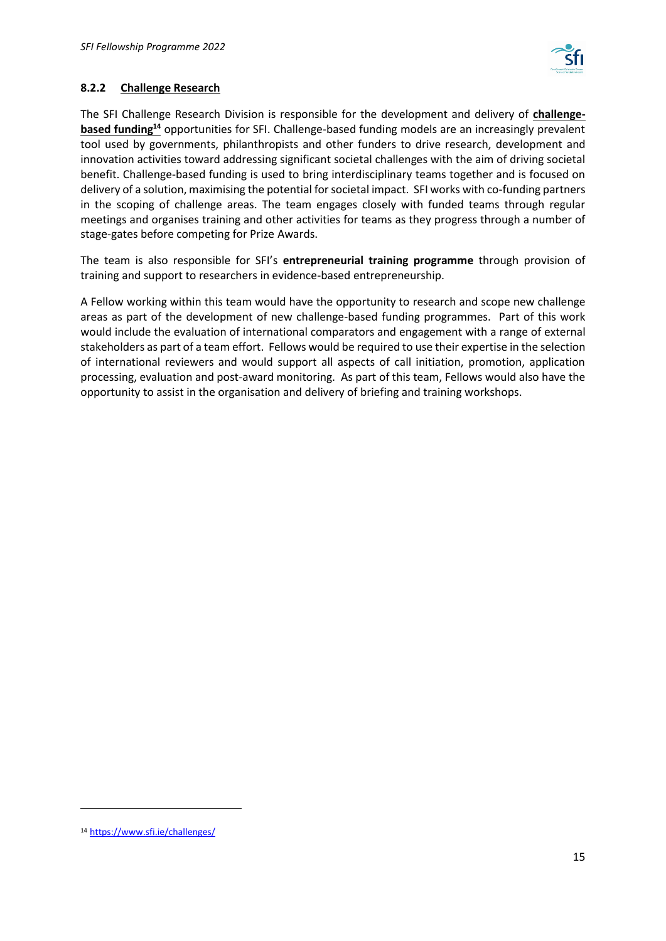

## <span id="page-14-0"></span>**8.2.2 Challenge Research**

The SFI Challenge Research Division is responsible for the development and delivery of **[challenge](https://www.sfi.ie/challenges/)based funding<sup>14</sup>** [opportunities for SFI.](https://www.sfi.ie/challenges/) Challenge-based funding models are an increasingly prevalent tool used by governments, philanthropists and other funders to drive research, development and innovation activities toward addressing significant societal challenges with the aim of driving societal benefit. Challenge-based funding is used to bring interdisciplinary teams together and is focused on delivery of a solution, maximising the potential for societal impact. SFI works with co-funding partners in the scoping of challenge areas. The team engages closely with funded teams through regular meetings and organises training and other activities for teams as they progress through a number of stage-gates before competing for Prize Awards.

The team is also responsible for SFI's **entrepreneurial training programme** through provision of training and support to researchers in evidence-based entrepreneurship.

A Fellow working within this team would have the opportunity to research and scope new challenge areas as part of the development of new challenge-based funding programmes. Part of this work would include the evaluation of international comparators and engagement with a range of external stakeholders as part of a team effort. Fellows would be required to use their expertise in the selection of international reviewers and would support all aspects of call initiation, promotion, application processing, evaluation and post-award monitoring. As part of this team, Fellows would also have the opportunity to assist in the organisation and delivery of briefing and training workshops.

<sup>14</sup> <https://www.sfi.ie/challenges/>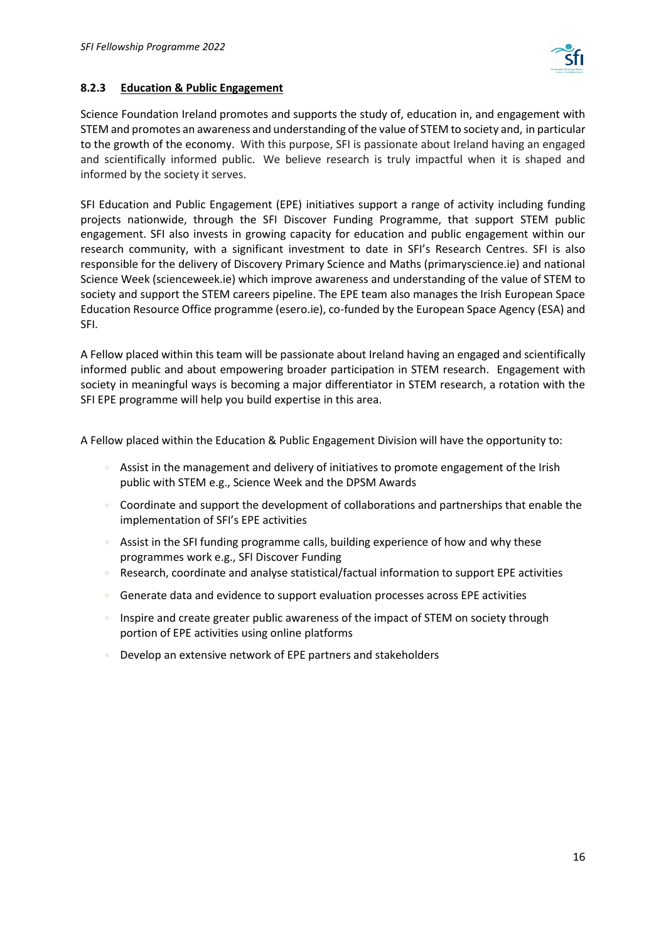

#### <span id="page-15-0"></span>**8.2.3 Education & Public Engagement**

Science Foundation Ireland promotes and supports the study of, education in, and engagement with STEM and promotes an awareness and understanding of the value of STEM to society and, in particular to the growth of the economy. With this purpose, SFI is passionate about Ireland having an engaged and scientifically informed public. We believe research is truly impactful when it is shaped and informed by the society it serves.

SFI Education and Public Engagement (EPE) initiatives support a range of activity including funding projects nationwide, through the SFI Discover Funding Programme, that support STEM public engagement. SFI also invests in growing capacity for education and public engagement within our research community, with a significant investment to date in SFI's Research Centres. SFI is also responsible for the delivery of Discovery Primary Science and Maths (primaryscience.ie) and national Science Week (scienceweek.ie) which improve awareness and understanding of the value of STEM to society and support the STEM careers pipeline. The EPE team also manages the Irish European Space Education Resource Office programme (esero.ie), co-funded by the European Space Agency (ESA) and SFI.

A Fellow placed within this team will be passionate about Ireland having an engaged and scientifically informed public and about empowering broader participation in STEM research. Engagement with society in meaningful ways is becoming a major differentiator in STEM research, a rotation with the SFI EPE programme will help you build expertise in this area.

A Fellow placed within the Education & Public Engagement Division will have the opportunity to:

- Assist in the management and delivery of initiatives to promote engagement of the Irish public with STEM e.g., Science Week and the DPSM Awards
- Coordinate and support the development of collaborations and partnerships that enable the implementation of SFI's EPE activities
- Assist in the SFI funding programme calls, building experience of how and why these programmes work e.g., SFI Discover Funding
- Research, coordinate and analyse statistical/factual information to support EPE activities
- Generate data and evidence to support evaluation processes across EPE activities
- Inspire and create greater public awareness of the impact of STEM on society through portion of EPE activities using online platforms
- Develop an extensive network of EPE partners and stakeholders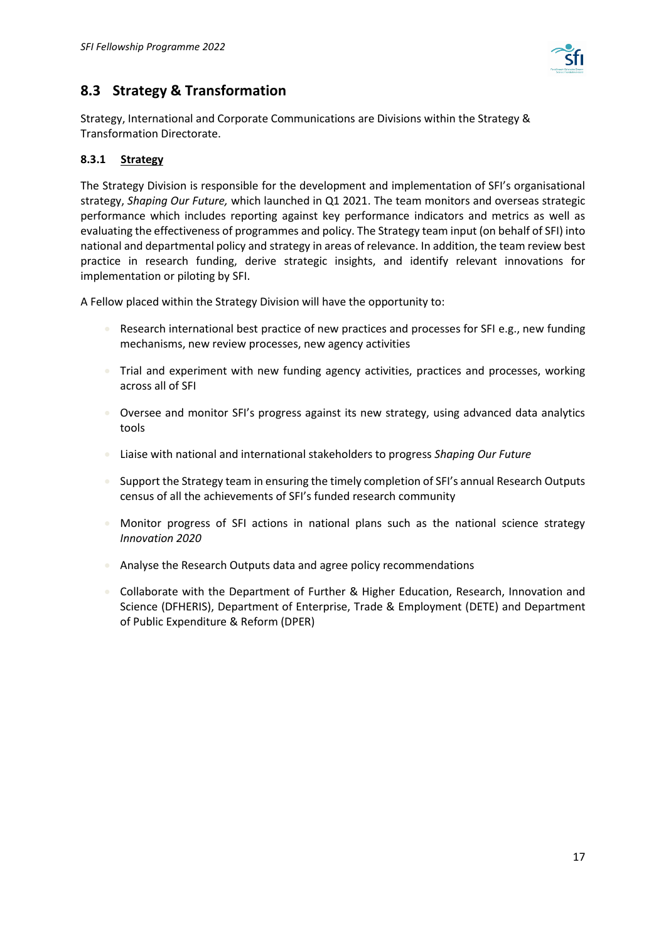

# <span id="page-16-0"></span>**8.3 Strategy & Transformation**

Strategy, International and Corporate Communications are Divisions within the Strategy & Transformation Directorate.

## <span id="page-16-1"></span>**8.3.1 Strategy**

The Strategy Division is responsible for the development and implementation of SFI's organisational strategy, *Shaping Our Future,* which launched in Q1 2021. The team monitors and overseas strategic performance which includes reporting against key performance indicators and metrics as well as evaluating the effectiveness of programmes and policy. The Strategy team input (on behalf of SFI) into national and departmental policy and strategy in areas of relevance. In addition, the team review best practice in research funding, derive strategic insights, and identify relevant innovations for implementation or piloting by SFI.

A Fellow placed within the Strategy Division will have the opportunity to:

- Research international best practice of new practices and processes for SFI e.g., new funding mechanisms, new review processes, new agency activities
- Trial and experiment with new funding agency activities, practices and processes, working across all of SFI
- Oversee and monitor SFI's progress against its new strategy, using advanced data analytics tools
- Liaise with national and international stakeholders to progress *Shaping Our Future*
- Support the Strategy team in ensuring the timely completion of SFI's annual Research Outputs census of all the achievements of SFI's funded research community
- Monitor progress of SFI actions in national plans such as the national science strategy *Innovation 2020*
- Analyse the Research Outputs data and agree policy recommendations
- Collaborate with the Department of Further & Higher Education, Research, Innovation and Science (DFHERIS), Department of Enterprise, Trade & Employment (DETE) and Department of Public Expenditure & Reform (DPER)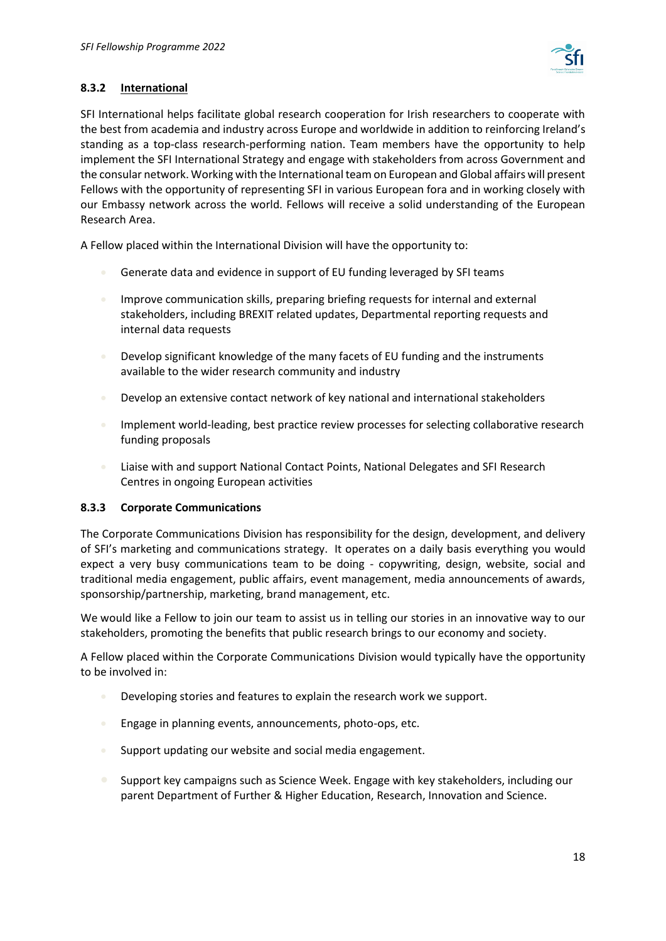

## <span id="page-17-0"></span>**8.3.2 International**

SFI International helps facilitate global research cooperation for Irish researchers to cooperate with the best from academia and industry across Europe and worldwide in addition to reinforcing Ireland's standing as a top-class research-performing nation. Team members have the opportunity to help implement the SFI International Strategy and engage with stakeholders from across Government and the consular network. Working with the International team on European and Global affairs will present Fellows with the opportunity of representing SFI in various European fora and in working closely with our Embassy network across the world. Fellows will receive a solid understanding of the European Research Area.

A Fellow placed within the International Division will have the opportunity to:

- Generate data and evidence in support of EU funding leveraged by SFI teams
- **Improve communication skills, preparing briefing requests for internal and external** stakeholders, including BREXIT related updates, Departmental reporting requests and internal data requests
- Develop significant knowledge of the many facets of EU funding and the instruments available to the wider research community and industry
- Develop an extensive contact network of key national and international stakeholders
- Implement world-leading, best practice review processes for selecting collaborative research funding proposals
- Liaise with and support National Contact Points, National Delegates and SFI Research Centres in ongoing European activities

#### <span id="page-17-1"></span>**8.3.3 Corporate Communications**

The Corporate Communications Division has responsibility for the design, development, and delivery of SFI's marketing and communications strategy. It operates on a daily basis everything you would expect a very busy communications team to be doing - copywriting, design, website, social and traditional media engagement, public affairs, event management, media announcements of awards, sponsorship/partnership, marketing, brand management, etc.

We would like a Fellow to join our team to assist us in telling our stories in an innovative way to our stakeholders, promoting the benefits that public research brings to our economy and society.

A Fellow placed within the Corporate Communications Division would typically have the opportunity to be involved in:

- Developing stories and features to explain the research work we support.
- **Engage in planning events, announcements, photo-ops, etc.**
- Support updating our website and social media engagement.
- Support key campaigns such as Science Week. Engage with key stakeholders, including our parent Department of Further & Higher Education, Research, Innovation and Science.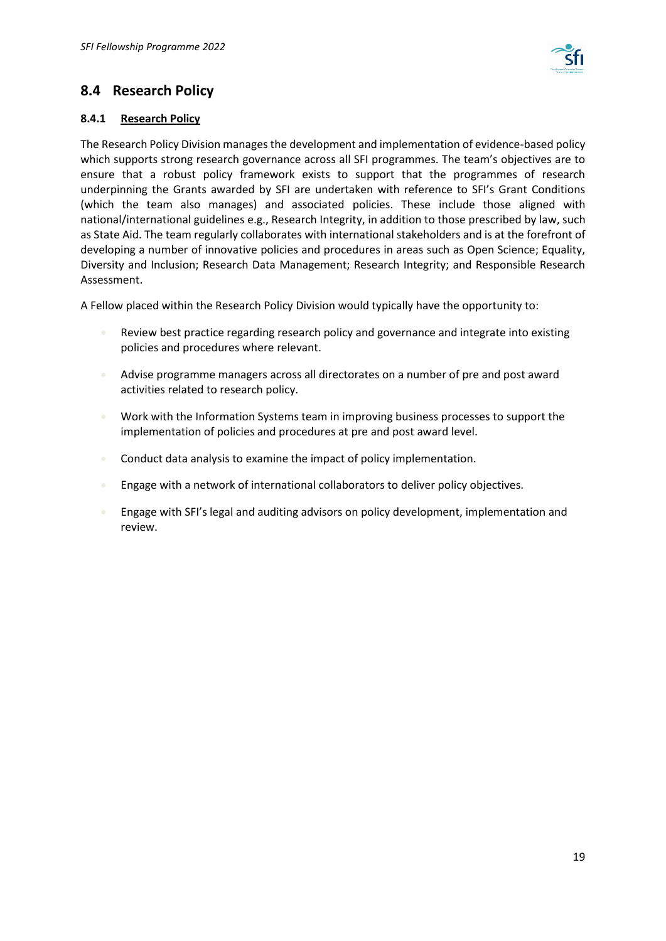

# <span id="page-18-0"></span>**8.4 Research Policy**

#### <span id="page-18-1"></span>**8.4.1 Research Policy**

The Research Policy Division manages the development and implementation of evidence-based policy which supports strong research governance across all SFI programmes. The team's objectives are to ensure that a robust policy framework exists to support that the programmes of research underpinning the Grants awarded by SFI are undertaken with reference to SFI's Grant Conditions (which the team also manages) and associated policies. These include those aligned with national/international guidelines e.g., Research Integrity, in addition to those prescribed by law, such as State Aid. The team regularly collaborates with international stakeholders and is at the forefront of developing a number of innovative policies and procedures in areas such as Open Science; Equality, Diversity and Inclusion; Research Data Management; Research Integrity; and Responsible Research Assessment.

A Fellow placed within the Research Policy Division would typically have the opportunity to:

- Review best practice regarding research policy and governance and integrate into existing policies and procedures where relevant.
- Advise programme managers across all directorates on a number of pre and post award activities related to research policy.
- Work with the Information Systems team in improving business processes to support the implementation of policies and procedures at pre and post award level.
- Conduct data analysis to examine the impact of policy implementation.
- Engage with a network of international collaborators to deliver policy objectives.
- Engage with SFI's legal and auditing advisors on policy development, implementation and review.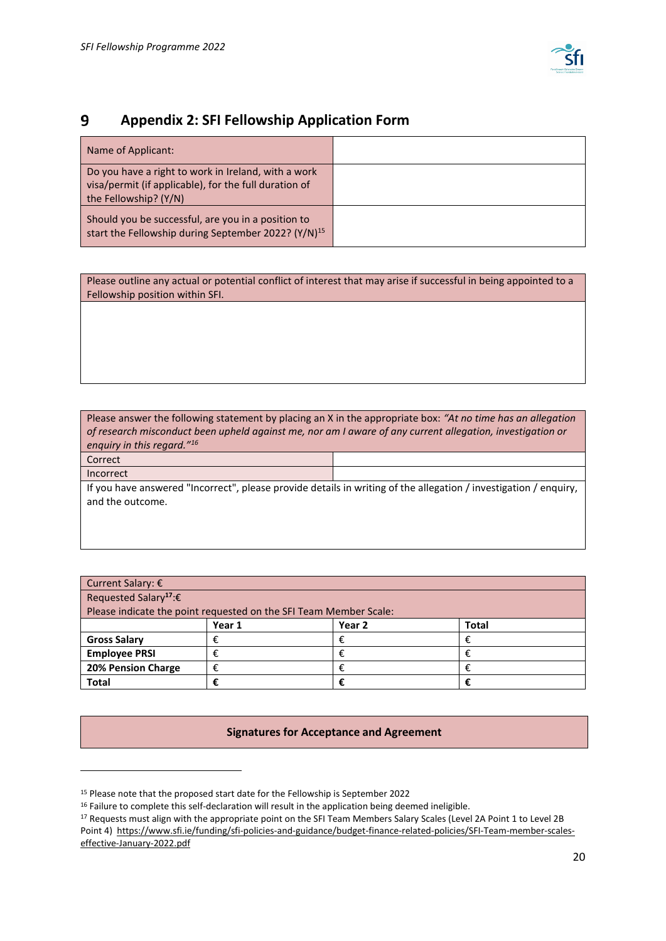

#### <span id="page-19-0"></span> $9$ **Appendix 2: SFI Fellowship Application Form**

| Name of Applicant:                                                                                                                    |  |
|---------------------------------------------------------------------------------------------------------------------------------------|--|
| Do you have a right to work in Ireland, with a work<br>visa/permit (if applicable), for the full duration of<br>the Fellowship? (Y/N) |  |
| Should you be successful, are you in a position to<br>start the Fellowship during September 2022? (Y/N) <sup>15</sup>                 |  |

Please outline any actual or potential conflict of interest that may arise if successful in being appointed to a Fellowship position within SFI.

Please answer the following statement by placing an X in the appropriate box: *"At no time has an allegation of research misconduct been upheld against me, nor am I aware of any current allegation, investigation or enquiry in this regard."<sup>16</sup>* Correct Incorrect If you have answered "Incorrect", please provide details in writing of the allegation / investigation / enquiry, and the outcome.

| Current Salary: €                                                 |        |                   |       |
|-------------------------------------------------------------------|--------|-------------------|-------|
| Requested Salary <sup>17</sup> : $\epsilon$                       |        |                   |       |
| Please indicate the point requested on the SFI Team Member Scale: |        |                   |       |
|                                                                   | Year 1 | Year <sub>2</sub> | Total |
| <b>Gross Salary</b>                                               | ŧ      |                   |       |
| <b>Employee PRSI</b>                                              | €      |                   |       |
| <b>20% Pension Charge</b>                                         |        |                   |       |
| <b>Total</b>                                                      |        |                   |       |

**Signatures for Acceptance and Agreement**

<sup>&</sup>lt;sup>15</sup> Please note that the proposed start date for the Fellowship is September 2022

<sup>&</sup>lt;sup>16</sup> Failure to complete this self-declaration will result in the application being deemed ineligible.

<sup>&</sup>lt;sup>17</sup> Requests must align with the appropriate point on the SFI Team Members Salary Scales (Level 2A Point 1 to Level 2B Point 4) [https://www.sfi.ie/funding/sfi-policies-and-guidance/budget-finance-related-policies/SFI-Team-member-scales-](https://www.sfi.ie/funding/sfi-policies-and-guidance/budget-finance-related-policies/SFI-Team-member-scales-effective-January-2022.pdf)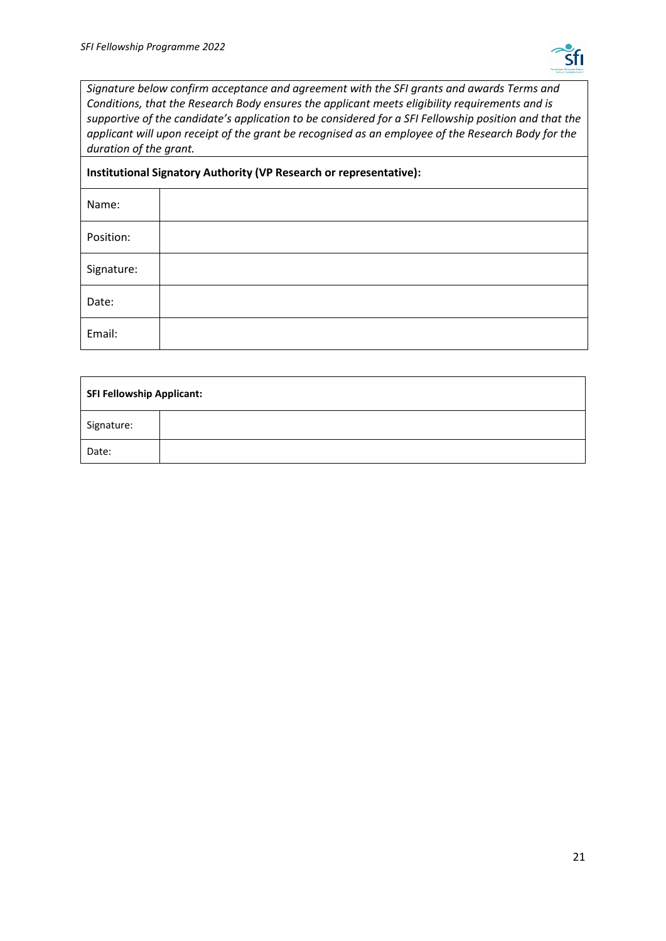

*Signature below confirm acceptance and agreement with the SFI grants and awards Terms and Conditions, that the Research Body ensures the applicant meets eligibility requirements and is supportive of the candidate's application to be considered for a SFI Fellowship position and that the applicant will upon receipt of the grant be recognised as an employee of the Research Body for the duration of the grant.*

| Institutional Signatory Authority (VP Research or representative): |  |  |
|--------------------------------------------------------------------|--|--|
| Name:                                                              |  |  |
| Position:                                                          |  |  |
| Signature:                                                         |  |  |
| Date:                                                              |  |  |
| Email:                                                             |  |  |

| <b>SFI Fellowship Applicant:</b> |  |
|----------------------------------|--|
| Signature:                       |  |
| Date:                            |  |